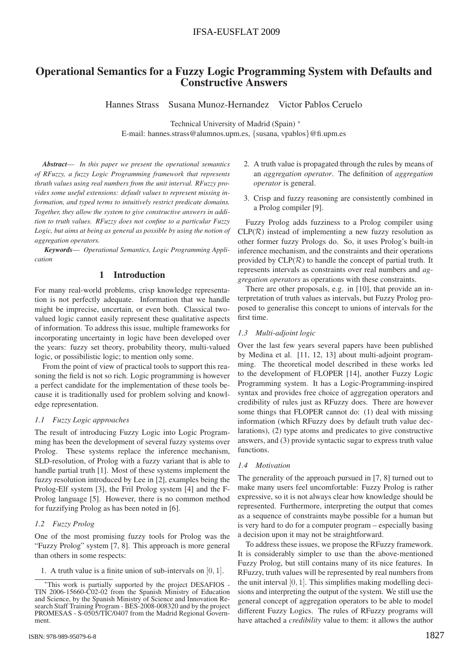# Operational Semantics for a Fuzzy Logic Programming System with Defaults and Constructive Answers

Hannes Strass Susana Munoz-Hernandez Victor Pablos Ceruelo

Technical University of Madrid (Spain) ∗ E-mail: hannes.strass@alumnos.upm.es, {susana, vpablos}@fi.upm.es

*Abstract*— *In this paper we present the operational semantics of RFuzzy, a fuzzy Logic Programming framework that represents thruth values using real numbers from the unit interval. RFuzzy provides some useful extensions: default values to represent missing information, and typed terms to intuitively restrict predicate domains. Together, they allow the system to give constructive answers in addition to truth values. RFuzzy does not confine to a particular Fuzzy Logic, but aims at being as general as possible by using the notion of aggregation operators.*

*Keywords*— *Operational Semantics, Logic Programming Application*

## 1 Introduction

For many real-world problems, crisp knowledge representation is not perfectly adequate. Information that we handle might be imprecise, uncertain, or even both. Classical twovalued logic cannot easily represent these qualitative aspects of information. To address this issue, multiple frameworks for incorporating uncertainty in logic have been developed over the years: fuzzy set theory, probability theory, multi-valued logic, or possibilistic logic; to mention only some.

From the point of view of practical tools to support this reasoning the field is not so rich. Logic programming is however a perfect candidate for the implementation of these tools because it is traditionally used for problem solving and knowledge representation.

#### *1.1 Fuzzy Logic approaches*

The result of introducing Fuzzy Logic into Logic Programming has been the development of several fuzzy systems over Prolog. These systems replace the inference mechanism, SLD-resolution, of Prolog with a fuzzy variant that is able to handle partial truth [1]. Most of these systems implement the fuzzy resolution introduced by Lee in [2], examples being the Prolog-Elf system [3], the Fril Prolog system [4] and the F-Prolog language [5]. However, there is no common method for fuzzifying Prolog as has been noted in [6].

### *1.2 Fuzzy Prolog*

One of the most promising fuzzy tools for Prolog was the "Fuzzy Prolog" system [7, 8]. This approach is more general than others in some respects:

- 2. A truth value is propagated through the rules by means of an *aggregation operator*. The definition of *aggregation operator* is general.
- 3. Crisp and fuzzy reasoning are consistently combined in a Prolog compiler [9].

Fuzzy Prolog adds fuzziness to a Prolog compiler using  $CLP(\mathcal{R})$  instead of implementing a new fuzzy resolution as other former fuzzy Prologs do. So, it uses Prolog's built-in inference mechanism, and the constraints and their operations provided by  $CLP(\mathcal{R})$  to handle the concept of partial truth. It represents intervals as constraints over real numbers and *aggregation operators* as operations with these constraints.

There are other proposals, e.g. in [10], that provide an interpretation of truth values as intervals, but Fuzzy Prolog proposed to generalise this concept to unions of intervals for the first time.

### *1.3 Multi-adjoint logic*

Over the last few years several papers have been published by Medina et al. [11, 12, 13] about multi-adjoint programming. The theoretical model described in these works led to the development of FLOPER [14], another Fuzzy Logic Programming system. It has a Logic-Programming-inspired syntax and provides free choice of aggregation operators and credibility of rules just as RFuzzy does. There are however some things that FLOPER cannot do: (1) deal with missing information (which RFuzzy does by default truth value declarations), (2) type atoms and predicates to give constructive answers, and (3) provide syntactic sugar to express truth value functions.

#### *1.4 Motivation*

The generality of the approach pursued in [7, 8] turned out to make many users feel uncomfortable: Fuzzy Prolog is rather expressive, so it is not always clear how knowledge should be represented. Furthermore, interpreting the output that comes as a sequence of constraints maybe possible for a human but is very hard to do for a computer program – especially basing a decision upon it may not be straightforward.

To address these issues, we propose the RFuzzy framework. It is considerably simpler to use than the above-mentioned Fuzzy Prolog, but still contains many of its nice features. In RFuzzy, truth values will be represented by real numbers from the unit interval [0, 1]. This simplifies making modelling decisions and interpreting the output of the system. We still use the general concept of aggregation operators to be able to model different Fuzzy Logics. The rules of RFuzzy programs will have attached a *credibility* value to them: it allows the author

<sup>1.</sup> A truth value is a finite union of sub-intervals on [0, 1].

<sup>∗</sup>This work is partially supported by the project DESAFIOS - TIN 2006-15660-C02-02 from the Spanish Ministry of Education and Science, by the Spanish Ministry of Science and Innovation Research Staff Training Program - BES-2008-008320 and by the project PROMESAS - S-0505/TIC/0407 from the Madrid Regional Government.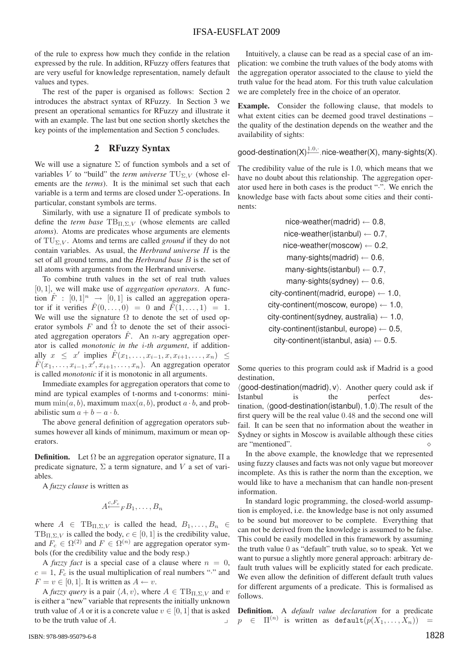of the rule to express how much they confide in the relation expressed by the rule. In addition, RFuzzy offers features that are very useful for knowledge representation, namely default values and types.

The rest of the paper is organised as follows: Section 2 introduces the abstract syntax of RFuzzy. In Section 3 we present an operational semantics for RFuzzy and illustrate it with an example. The last but one section shortly sketches the key points of the implementation and Section 5 concludes.

## 2 RFuzzy Syntax

We will use a signature  $\Sigma$  of function symbols and a set of variables V to "build" the *term universe*  $TU_{\Sigma,V}$  (whose elements are the *terms*). It is the minimal set such that each variable is a term and terms are closed under Σ-operations. In particular, constant symbols are terms.

Similarly, with use a signature Π of predicate symbols to define the *term base* TBΠ*,*Σ*,V* (whose elements are called *atoms*). Atoms are predicates whose arguments are elements of TUΣ*,V* . Atoms and terms are called *ground* if they do not contain variables. As usual, the *Herbrand universe* H is the set of all ground terms, and the *Herbrand base* B is the set of all atoms with arguments from the Herbrand universe.

To combine truth values in the set of real truth values [0, 1], we will make use of *aggregation operators*. A function  $\hat{F}$  :  $[0, 1]^n \rightarrow [0, 1]$  is called an aggregation operator if it verifies  $\hat{F}(0,\ldots,0) = 0$  and  $\hat{F}(1,\ldots,1) = 1$ . We will use the signature  $\Omega$  to denote the set of used operator symbols F and  $\hat{\Omega}$  to denote the set of their associated aggregation operators  $\hat{F}$ . An *n*-ary aggregation operator is called *monotonic in the* i*-th argument*, if additionally  $x \leq x'$  implies  $\hat{F}(x_1,\ldots,x_{i-1},x,x_{i+1},\ldots,x_n) \leq$  $\hat{F}(x_1,\ldots,x_{i-1},x^{\prime},x_{i+1},\ldots,x_n)$ . An aggregation operator is called *monotonic* if it is monotonic in all arguments.

Immediate examples for aggregation operators that come to mind are typical examples of t-norms and t-conorms: minimum  $\min(a, b)$ , maximum  $\max(a, b)$ , product  $a \cdot b$ , and probabilistic sum  $a + b - a \cdot b$ .

The above general definition of aggregation operators subsumes however all kinds of minimum, maximum or mean operators.

**Definition.** Let  $\Omega$  be an aggregation operator signature,  $\Pi$  a predicate signature,  $\Sigma$  a term signature, and V a set of variables.

A *fuzzy clause* is written as

$$
A \stackrel{c, F_c}{\longleftarrow} F B_1, \ldots, B_n
$$

where  $A \in TB_{\Pi,\Sigma,V}$  is called the head,  $B_1,\ldots,B_n \in$  $TB_{\Pi,\Sigma,V}$  is called the body,  $c \in [0,1]$  is the credibility value, and  $F_c \in \Omega^{(2)}$  and  $F \in \Omega^{(n)}$  are aggregation operator symbols (for the credibility value and the body resp.)

A *fuzzy fact* is a special case of a clause where  $n = 0$ ,  $c = 1$ ,  $F_c$  is the usual multiplication of real numbers "<sup>\*</sup>" and  $F = v \in [0, 1]$ . It is written as  $A \leftarrow v$ .

A *fuzzy query* is a pair  $\langle A, v \rangle$ , where  $A \in \text{TB}_{\Pi, \Sigma, V}$  and v is either a "new" variable that represents the initially unknown truth value of A or it is a concrete value  $v \in [0, 1]$  that is asked to be the truth value of A.

Intuitively, a clause can be read as a special case of an implication: we combine the truth values of the body atoms with the aggregation operator associated to the clause to yield the truth value for the head atom. For this truth value calculation we are completely free in the choice of an operator.

Example. Consider the following clause, that models to what extent cities can be deemed good travel destinations – the quality of the destination depends on the weather and the availability of sights:

good-destination(X)<sup>1.0,</sup><sup>*i*</sup>.nice-weather(X), many-sights(X).

The credibility value of the rule is 1.0, which means that we have no doubt about this relationship. The aggregation operator used here in both cases is the product "·". We enrich the knowledge base with facts about some cities and their continents:

> nice-weather(madrid)  $\leftarrow$  0.8, nice-weather(istanbul)  $\leftarrow$  0.7, nice-weather(moscow)  $\leftarrow$  0.2, many-sights(madrid)  $\leftarrow$  0.6, many-sights(istanbul)  $\leftarrow$  0.7, many-sights(sydney)  $\leftarrow$  0.6, city-continent(madrid, europe)  $\leftarrow$  1.0, city-continent(moscow, europe)  $\leftarrow$  1.0, city-continent(sydney, australia)  $\leftarrow$  1.0, city-continent(istanbul, europe)  $\leftarrow$  0.5, city-continent(istanbul, asia)  $\leftarrow$  0.5.

Some queries to this program could ask if Madrid is a good destination,

 $\langle$ good-destination(madrid), v $\rangle$ . Another query could ask if Istanbul is the perfect des-Istanbul is the perfect destination,  $\langle$  good-destination(istanbul), 1.0. The result of the first query will be the real value 0.48 and the second one will fail. It can be seen that no information about the weather in Sydney or sights in Moscow is available although these cities are "mentioned". (

In the above example, the knowledge that we represented using fuzzy clauses and facts was not only vague but moreover incomplete. As this is rather the norm than the exception, we would like to have a mechanism that can handle non-present information.

In standard logic programming, the closed-world assumption is employed, i.e. the knowledge base is not only assumed to be sound but moreover to be complete. Everything that can not be derived from the knowledge is assumed to be false. This could be easily modelled in this framework by assuming the truth value 0 as "default" truth value, so to speak. Yet we want to pursue a slightly more general approach: arbitrary default truth values will be explicitly stated for each predicate. We even allow the definition of different default truth values for different arguments of a predicate. This is formalised as follows.

Definition. A *default value declaration* for a predicate  $p \in \Pi^{(n)}$  is written as default $(p(X_1, \ldots, X_n))$  =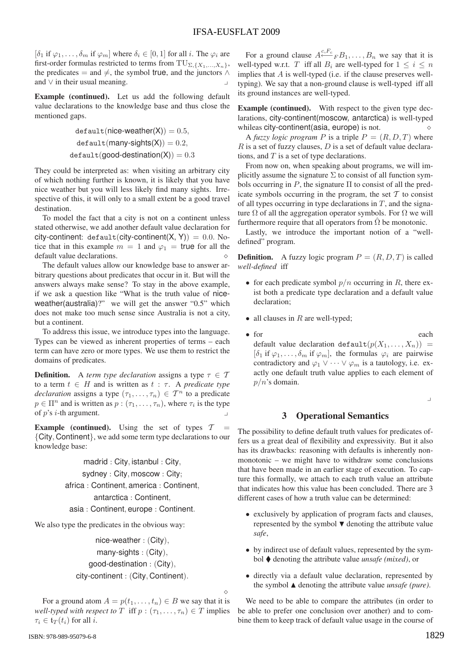$[\delta_1$  if  $\varphi_1, \ldots, \delta_m$  if  $\varphi_m]$  where  $\delta_i \in [0, 1]$  for all *i*. The  $\varphi_i$  are first-order formulas restricted to terms from  $\text{TU}_{\Sigma,\{X_1,...,X_n\}}$ , the predicates = and  $\neq$ , the symbol true, and the junctors  $\wedge$ and ∨ in their usual meaning.

Example (continued). Let us add the following default value declarations to the knowledge base and thus close the mentioned gaps.

$$
default(nice-weather(X)) = 0.5,
$$
  

$$
default(many-sights(X)) = 0.2,
$$
  

$$
default(good-destination(X)) = 0.3
$$

They could be interpreted as: when visiting an arbitrary city of which nothing further is known, it is likely that you have nice weather but you will less likely find many sights. Irrespective of this, it will only to a small extent be a good travel destination.

To model the fact that a city is not on a continent unless stated otherwise, we add another default value declaration for city-continent: default(city-continent(X, Y)) = 0.0. Notice that in this example  $m = 1$  and  $\varphi_1$  = true for all the default value declarations.

The default values allow our knowledge base to answer arbitrary questions about predicates that occur in it. But will the answers always make sense? To stay in the above example, if we ask a question like "What is the truth value of niceweather(australia)?" we will get the answer "0.5" which does not make too much sense since Australia is not a city, but a continent.

To address this issue, we introduce types into the language. Types can be viewed as inherent properties of terms – each term can have zero or more types. We use them to restrict the domains of predicates.

**Definition.** A *term type declaration* assigns a type  $\tau \in \mathcal{T}$ to a term  $t \in H$  and is written as  $t : \tau$ . A *predicate type declaration* assigns a type  $(\tau_1, \ldots, \tau_n) \in \mathcal{T}^n$  to a predicate  $p \in \Pi^n$  and is written as  $p : (\tau_1, \ldots, \tau_n)$ , where  $\tau_i$  is the type of p's i-th argument.

**Example (continued).** Using the set of types  $T$ {City, Continent}, we add some term type declarations to our knowledge base:

madrid : City, istanbul : City, sydney : City, moscow : City; africa : Continent, america : Continent, antarctica : Continent, asia : Continent, europe : Continent.

We also type the predicates in the obvious way:

nice-weather : (City), many-sights : (City), good-destination : (City), city-continent : (City, Continent).

For a ground atom  $A = p(t_1, ..., t_n) \in B$  we say that it is *well-typed with respect to*  $T$  iff  $p : (\tau_1, \ldots, \tau_n) \in T$  implies  $\tau_i \in \mathfrak{t}_T(t_i)$  for all *i*.

For a ground clause  $A \stackrel{c, F_c}{\longleftarrow} F B_1, \ldots, B_n$  we say that it is well-typed w.r.t. T iff all  $B_i$  are well-typed for  $1 \leq i \leq n$ implies that  $A$  is well-typed (i.e. if the clause preserves welltyping). We say that a non-ground clause is well-typed iff all its ground instances are well-typed.

Example (continued). With respect to the given type declarations, city-continent(moscow, antarctica) is well-typed whileas city-continent (asia, europe) is not.  $\Diamond$ 

A *fuzzy logic program* P is a triple  $P = (R, D, T)$  where  $R$  is a set of fuzzy clauses,  $D$  is a set of default value declarations, and  $T$  is a set of type declarations.

From now on, when speaking about programs, we will implicitly assume the signature  $\Sigma$  to consist of all function symbols occurring in P, the signature  $\Pi$  to consist of all the predicate symbols occurring in the program, the set  $\mathcal T$  to consist of all types occurring in type declarations in  $T$ , and the signature  $\Omega$  of all the aggregation operator symbols. For  $\Omega$  we will furthermore require that all operators from  $\Omega$  be monotonic.

Lastly, we introduce the important notion of a "welldefined" program.

**Definition.** A fuzzy logic program  $P = (R, D, T)$  is called *well-defined* iff

- for each predicate symbol  $p/n$  occurring in R, there exist both a predicate type declaration and a default value declaration;
- all clauses in  $R$  are well-typed;
- for each default value declaration default $(p(X_1,...,X_n))$  =  $[\delta_1$  if  $\varphi_1,\ldots,\delta_m$  if  $\varphi_m]$ , the formulas  $\varphi_i$  are pairwise contradictory and  $\varphi_1 \vee \cdots \vee \varphi_m$  is a tautology, i.e. exactly one default truth value applies to each element of  $p/n$ 's domain.

 $\overline{1}$ 

### 3 Operational Semantics

The possibility to define default truth values for predicates offers us a great deal of flexibility and expressivity. But it also has its drawbacks: reasoning with defaults is inherently nonmonotonic – we might have to withdraw some conclusions that have been made in an earlier stage of execution. To capture this formally, we attach to each truth value an attribute that indicates how this value has been concluded. There are 3 different cases of how a truth value can be determined:

- exclusively by application of program facts and clauses, represented by the symbol  $\blacktriangledown$  denoting the attribute value *safe*,
- by indirect use of default values, represented by the symbol denoting the attribute value *unsafe (mixed)*, or
- directly via a default value declaration, represented by the symbol  $\triangle$  denoting the attribute value *unsafe (pure)*.

We need to be able to compare the attributes (in order to be able to prefer one conclusion over another) and to combine them to keep track of default value usage in the course of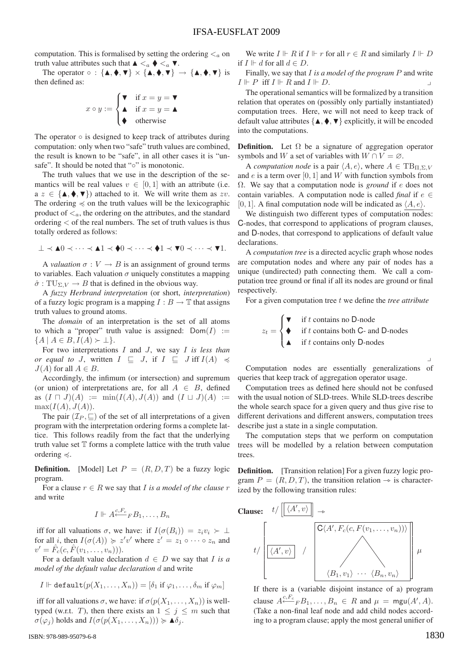computation. This is formalised by setting the ordering  $\lt_a$  on truth value attributes such that  $\blacktriangle \leq_a \blacklozenge \leq_a \blacktriangledown$ .

The operator  $\circ$  : { $\blacktriangle, \blacklozenge, \blacktriangledown$ }  $\times$  { $\blacktriangle, \blacklozenge, \blacktriangledown$ }  $\rightarrow$  { $\blacktriangle, \blacklozenge, \blacktriangledown$ } is then defined as:

$$
x \circ y := \begin{cases} \blacktriangledown & \text{if } x = y = \blacktriangledown \\ \blacktriangle & \text{if } x = y = \blacktriangle \\ \blacktriangledown & \text{otherwise} \end{cases}
$$

The operator  $\circ$  is designed to keep track of attributes during computation: only when two "safe" truth values are combined, the result is known to be "safe", in all other cases it is "unsafe". It should be noted that "∘" is monotonic.

The truth values that we use in the description of the semantics will be real values  $v \in [0, 1]$  with an attribute (i.e.  $a \ z \in \{\blacktriangle, \blacklozenge, \blacktriangledown\}$  attached to it. We will write them as zv. The ordering  $\preccurlyeq$  on the truth values will be the lexicographic product of  $\leq_a$ , the ordering on the attributes, and the standard ordering < of the real numbers. The set of truth values is thus totally ordered as follows:

$$
\perp \prec \blacktriangle 0 \prec \cdots \prec \blacktriangle 1 \prec \blacklozenge 0 \prec \cdots \prec \blacklozenge 1 \prec \blacktriangledown 0 \prec \cdots \prec \blacktriangledown 1.
$$

A *valuation*  $\sigma: V \to B$  is an assignment of ground terms to variables. Each valuation  $\sigma$  uniquely constitutes a mapping  $\hat{\sigma}$ : TU<sub>N</sub>  $_V \rightarrow B$  that is defined in the obvious way.

A *fuzzy Herbrand interpretation* (or short, *interpretation*) of a fuzzy logic program is a mapping  $I : B \to \mathbb{T}$  that assigns truth values to ground atoms.

The *domain* of an interpretation is the set of all atoms to which a "proper" truth value is assigned:  $Dom(I) :=$  ${A \mid A \in B, I(A) \succ \bot}.$ 

For two interpretations I and J, we say I *is less than or equal to J*, written  $I \subseteq J$ , if  $I \subseteq J$  iff  $I(A) \preccurlyeq$  $J(A)$  for all  $A \in B$ .

Accordingly, the infimum (or intersection) and supremum (or union) of interpretations are, for all  $A \in B$ , defined as  $(I \sqcap J)(A) := \min(I(A), J(A))$  and  $(I \sqcup J)(A) :=$  $max(I(A), J(A)).$ 

The pair  $(\mathcal{I}_P, \sqsubseteq)$  of the set of all interpretations of a given program with the interpretation ordering forms a complete lattice. This follows readily from the fact that the underlying truth value set  $T$  forms a complete lattice with the truth value ordering  $\preccurlyeq$ .

**Definition.** [Model] Let  $P = (R, D, T)$  be a fuzzy logic program.

For a clause  $r \in R$  we say that *I* is a model of the clause r and write

$$
I \Vdash A^{\mathcal{C},F_c}_{\longleftarrow F} B_1,\ldots,B_n
$$

iff for all valuations  $\sigma$ , we have: if  $I(\sigma(B_i)) = z_i v_i \succ \bot$ for all *i*, then  $I(\sigma(A)) \geq z'v'$  where  $z' = z_1 \circ \cdots \circ z_n$  and  $v' = \hat{F}_c(c, \hat{F}(v_1, \ldots, v_n))).$ 

For a default value declaration  $d \in D$  we say that *I* is a *model of the default value declaration* d and write

$$
I \Vdash \text{default}(p(X_1, \ldots, X_n)) = [\delta_1 \text{ if } \varphi_1, \ldots, \delta_m \text{ if } \varphi_m]
$$

iff for all valuations  $\sigma$ , we have: if  $\sigma(p(X_1,...,X_n))$  is welltyped (w.r.t. T), then there exists an  $1 \leq j \leq m$  such that  $\sigma(\varphi_i)$  holds and  $I(\sigma(p(X_1,...,X_n))) \succcurlyeq \blacktriangle \delta_i$ .

ISBN: 978-989-95079-6-8

We write  $I \Vdash R$  if  $I \Vdash r$  for all  $r \in R$  and similarly  $I \Vdash D$ if  $I \Vdash d$  for all  $d \in D$ .

Finally, we say that I *is a model of the program* P and write  $I \Vdash P$  iff  $I \Vdash R$  and  $I \Vdash D$ .

The operational semantics will be formalized by a transition relation that operates on (possibly only partially instantiated) computation trees. Here, we will not need to keep track of default value attributes  $\{\blacktriangle, \blacklozenge, \blacktriangledown\}$  explicitly, it will be encoded into the computations.

**Definition.** Let  $\Omega$  be a signature of aggregation operator symbols and W a set of variables with  $W \cap V = \emptyset$ .

A *computation node* is a pair  $\langle A, e \rangle$ , where  $A \in \text{TB}_{\Pi, \Sigma, V}$ and  $e$  is a term over [0, 1] and W with function symbols from Ω. We say that a computation node is *ground* if e does not contain variables. A computation node is called *final* if  $e \in$ [0, 1]. A final computation node will be indicated as  $\langle A, e \rangle$ .

We distinguish two different types of computation nodes: C-nodes, that correspond to applications of program clauses, and D-nodes, that correspond to applications of default value declarations.

A *computation tree* is a directed acyclic graph whose nodes are computation nodes and where any pair of nodes has a unique (undirected) path connecting them. We call a computation tree ground or final if all its nodes are ground or final respectively.

For a given computation tree t we define the *tree attribute* 

$$
z_t = \begin{cases} \nabla & \text{if } t \text{ contains no D-node} \\ \nabla & \text{if } t \text{ contains both C- and D-nodes} \\ \nabla & \text{if } t \text{ contains only D-nodes} \n\end{cases}
$$

Computation nodes are essentially generalizations of queries that keep track of aggregation operator usage.

Computation trees as defined here should not be confused with the usual notion of SLD-trees. While SLD-trees describe the whole search space for a given query and thus give rise to different derivations and different answers, computation trees describe just a state in a single computation.

The computation steps that we perform on computation trees will be modelled by a relation between computation trees.

Definition. [Transition relation] For a given fuzzy logic program  $P = (R, D, T)$ , the transition relation  $\rightarrow$  is characterized by the following transition rules:



If there is a (variable disjoint instance of a) program clause  $A \stackrel{c, F_c}{\leftarrow} F B_1, \ldots, B_n \in R$  and  $\mu = \text{mgu}(A', A)$ .<br>(Take a non-final leaf node and add child nodes accord-(Take a non-final leaf node and add child nodes according to a program clause; apply the most general unifier of

 $\frac{1}{2}$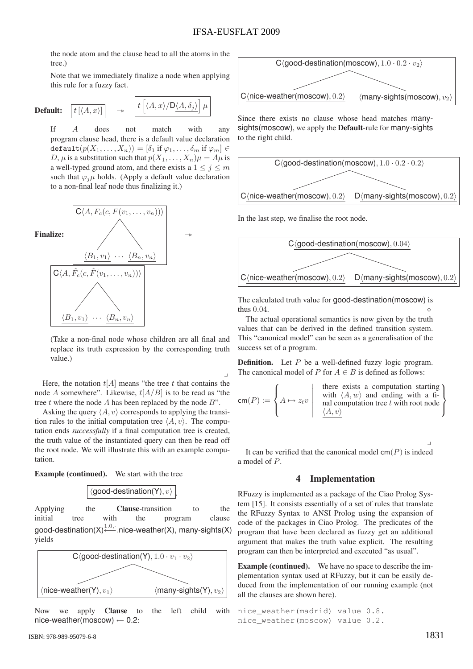$\mu$ 

the node atom and the clause head to all the atoms in the tree.)

Note that we immediately finalize a node when applying this rule for a fuzzy fact.

**Default:** 
$$
\boxed{t\left[\langle A,x\rangle\right]}
$$
  $\rightarrow$   $\boxed{t\left[\langle A,x\rangle/D\langle A,\delta_j\rangle\right]}$ 

If A does not match with any program clause head, there is a default value declaration  $\text{default}(p(X_1,\ldots,X_n)) = [\delta_1 \text{ if } \varphi_1,\ldots,\delta_m \text{ if } \varphi_m] \in$ D,  $\mu$  is a substitution such that  $p(X_1,...,X_n)\mu = A\mu$  is a well-typed ground atom, and there exists a  $1 \leq j \leq m$ such that  $\varphi_i \mu$  holds. (Apply a default value declaration to a non-final leaf node thus finalizing it.)



(Take a non-final node whose children are all final and replace its truth expression by the corresponding truth value.)

 $\frac{1}{2}$ Here, the notation  $t[A]$  means "the tree t that contains the node A somewhere". Likewise,  $t[A/B]$  is to be read as "the tree  $t$  where the node  $A$  has been replaced by the node  $B$ ".

Asking the query  $\langle A, v \rangle$  corresponds to applying the transition rules to the initial computation tree  $\langle A, v \rangle$ . The computation ends *successfully* if a final computation tree is created, the truth value of the instantiated query can then be read off the root node. We will illustrate this with an example computation.

Example (continued). We start with the tree



Applying the **Clause**-transition to the initial tree with the program clause good-destination(X)<sup>1.0,</sup><sup>*i*</sup>.nice-weather(X), many-sights(X) yields



Now we apply Clause to the left child with nice-weather(moscow)  $\leftarrow$  0.2:

Since there exists no clause whose head matches manysights(moscow), we apply the Default-rule for many-sights to the right child.



In the last step, we finalise the root node.



The calculated truth value for good-destination(moscow) is thus 0.04.  $\Diamond$ 

The actual operational semantics is now given by the truth values that can be derived in the defined transition system. This "canonical model" can be seen as a generalisation of the success set of a program.

**Definition.** Let  $P$  be a well-defined fuzzy logic program. The canonical model of P for  $A \in B$  is defined as follows:

$$
\mathsf{cm}(P) := \left\{ A \mapsto z_t v \mid \begin{array}{c} \text{there exists a computation starting} \\ \text{with } \langle A, w \rangle \text{ and ending with a final computation tree } t \text{ with root node} \\ \frac{\langle A, v \rangle}{\langle A, v \rangle} \end{array} \right\}
$$

 $\frac{1}{2}$ It can be verified that the canonical model  $\textsf{cm}(P)$  is indeed a model of P.

### 4 Implementation

RFuzzy is implemented as a package of the Ciao Prolog System [15]. It consists essentially of a set of rules that translate the RFuzzy Syntax to ANSI Prolog using the expansion of code of the packages in Ciao Prolog. The predicates of the program that have been declared as fuzzy get an additional argument that makes the truth value explicit. The resulting program can then be interpreted and executed "as usual".

Example (continued). We have no space to describe the implementation syntax used at RFuzzy, but it can be easily deduced from the implementation of our running example (not all the clauses are shown here).

```
nice_weather(madrid) value 0.8.
nice_weather(moscow) value 0.2.
```